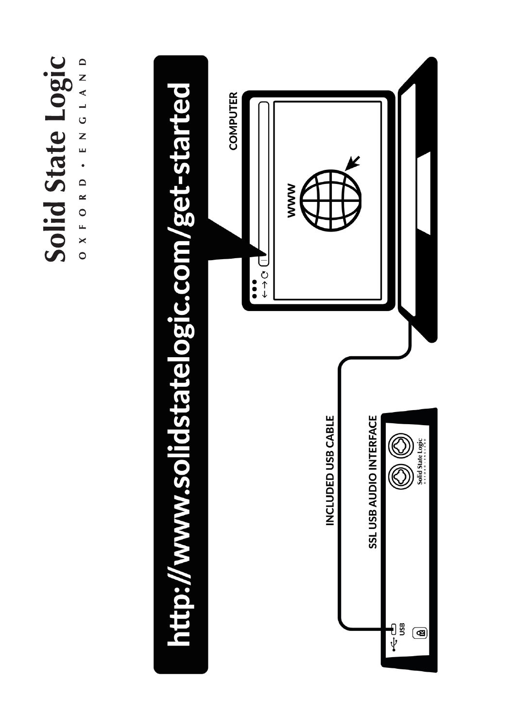# Solid State Logic OXFORD • ENGLAND



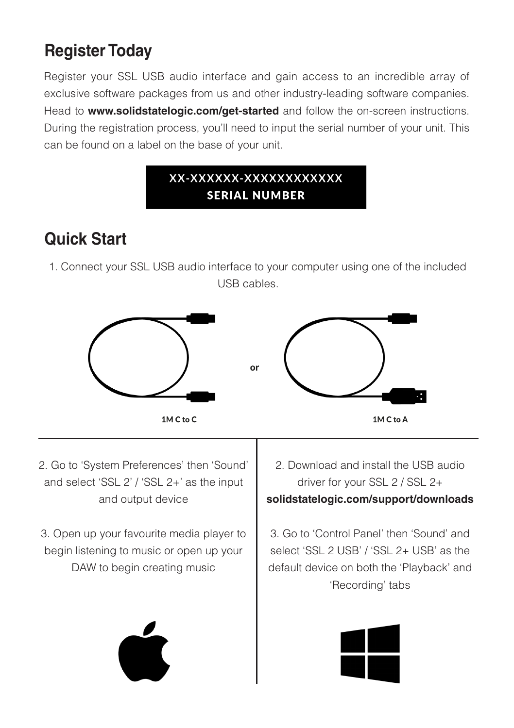#### **Register Today**

Register your SSL USB audio interface and gain access to an incredible array of exclusive software packages from us and other industry-leading software companies. Head to **www.solidstatelogic.com/get-started** and follow the on-screen instructions. During the registration process, you'll need to input the serial number of your unit. This can be found on a label on the base of your unit.

#### xx-xxxxxx-xxxxxxxxxxxx **SERIAL NUMBER**

#### **Quick Start**

1. Connect your SSL USB audio interface to your computer using one of the included USB cables.



2. Go to 'System Preferences' then 'Sound' and select 'SSL 2' / 'SSL 2+' as the input and output device

3. Open up your favourite media player to begin listening to music or open up your DAW to begin creating music

2. Download and install the USB audio driver for your SSL 2 / SSL 2+ **solidstatelogic.com/support/downloads**

3. Go to 'Control Panel' then 'Sound' and select 'SSL 2 USB' / 'SSL 2+ USB' as the default device on both the 'Playback' and 'Recording' tabs

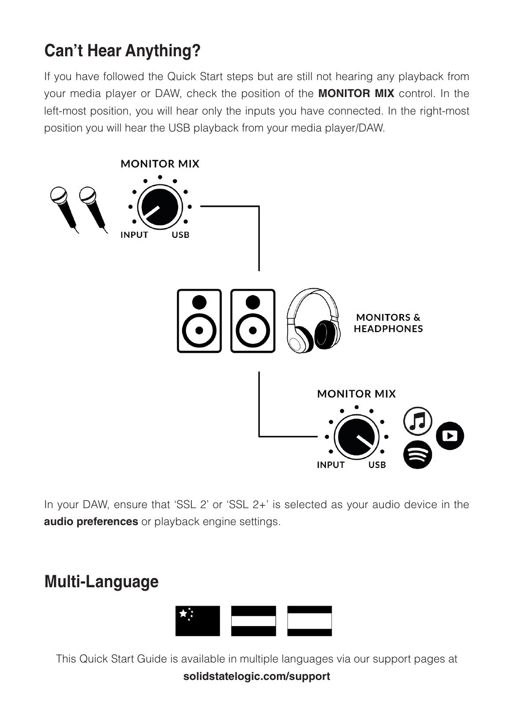#### **Can't Hear Anything?**

If you have followed the Quick Start steps but are still not hearing any playback from your media player or DAW, check the position of the **MONITOR MIX** control. In the left-most position, you will hear only the inputs you have connected. In the right-most position you will hear the USB playback from your media player/DAW.



In your DAW, ensure that 'SSL 2' or 'SSL 2+' is selected as your audio device in the **audio preferences** or playback engine settings.

#### **Multi-Language**



This Quick Start Guide is available in multiple languages via our support pages at **solidstatelogic.com/support**